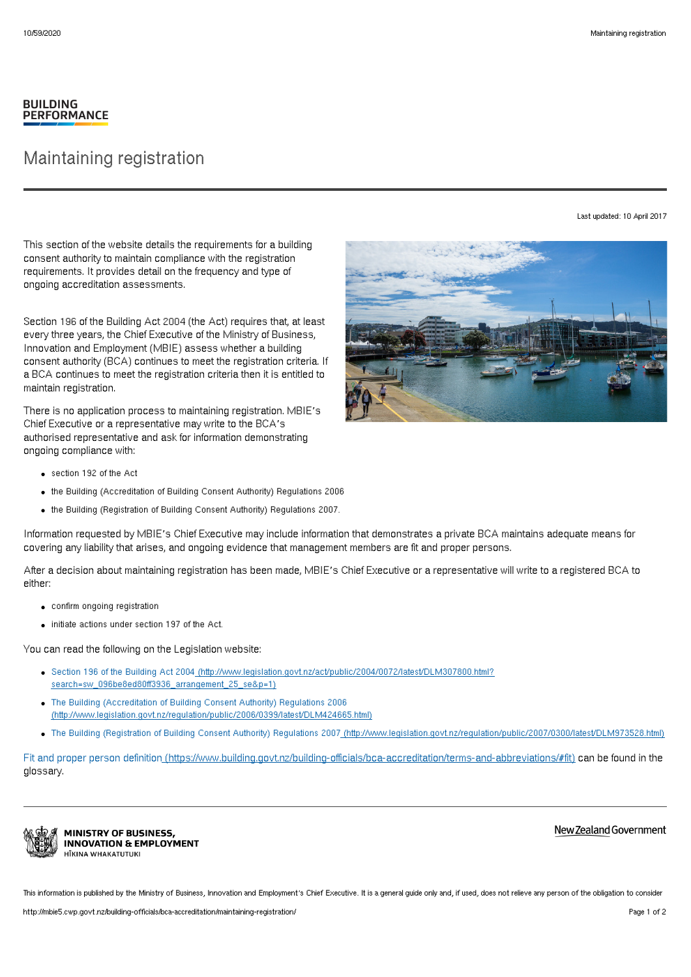## **BUILDING PERFORMANCE**

## Maintaining registration

Last updated: 10 April 2017

This section of the website details the requirements for a building consent authority to maintain compliance with the registration requirements. It provides detail on the frequency and type of ongoing accreditation assessments.

Section 196 of the Building Act 2004 (the Act) requires that, at least every three years, the Chief Executive of the Ministry of Business, Innovation and Employment (MBIE) assess whether a building consent authority (BCA) continues to meet the registration criteria. If a BCA continues to meet the registration criteria then it is entitled to maintain registration.

There is no application process to maintaining registration. MBIE's Chief Executive or a representative may write to the BCA's authorised representative and ask for information demonstrating ongoing compliance with:

- section 192 of the Act
- the Building (Accreditation of Building Consent Authority) Regulations 2006
- the Building (Registration of Building Consent Authority) Regulations 2007.

Information requested by MBIE's Chief Executive may include information that demonstrates a private BCA maintains adequate means for covering any liability that arises, and ongoing evidence that management members are fit and proper persons.

After a decision about maintaining registration has been made, MBIE's Chief Executive or a representative will write to a registered BCA to either:

- confirm ongoing registration
- initiate actions under section 197 of the Act.

You can read the following on the Legislation website:

- Section 196 of the Building Act 2004 [\(http://www.legislation.govt.nz/act/public/2004/0072/latest/DLM307800.html?](http://www.legislation.govt.nz/act/public/2004/0072/latest/DLM307800.html?search=sw_096be8ed80ff3936_arrangement_25_se&p=1) search=sw\_096be8ed80ff3936\_arrangement\_25\_se&p=1)
- The Building (Accreditation of Building Consent Authority) Regulations 2006 [\(http://www.legislation.govt.nz/regulation/public/2006/0399/latest/DLM424665.html\)](http://www.legislation.govt.nz/regulation/public/2006/0399/latest/DLM424665.html)
- The Building (Registration of Building Consent Authority) Regulations 2007 [\(http://www.legislation.govt.nz/regulation/public/2007/0300/latest/DLM973528.html\)](http://www.legislation.govt.nz/regulation/public/2007/0300/latest/DLM973528.html)

Fit and proper person definition [\(https://www.building.govt.nz/building-officials/bca-accreditation/terms-and-abbreviations/#fit\)](http://mbie5.cwp.govt.nz/building-officials/bca-accreditation/terms-and-abbreviations/#fit) can be found in the glossary.



New Zealand Government

This information is published by the Ministry of Business, Innovation and Employment's Chief Executive. It is a general guide only and, if used, does not relieve any person of the obligation to consider